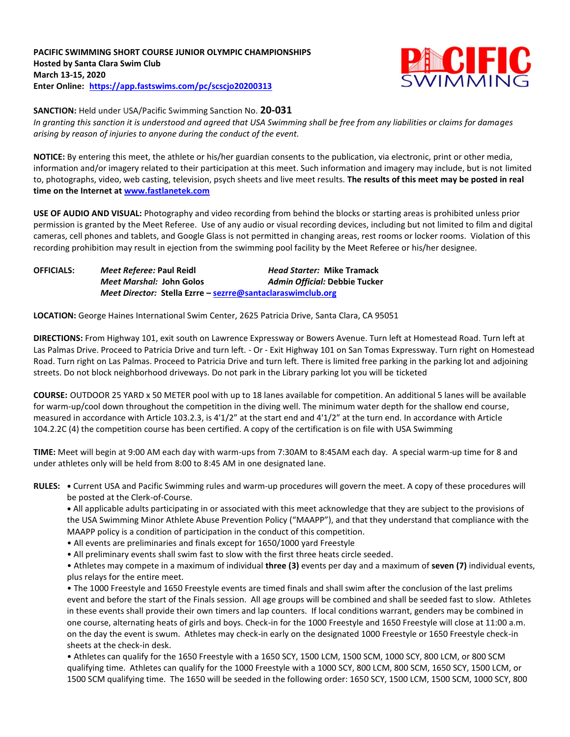**PACIFIC SWIMMING SHORT COURSE JUNIOR OLYMPIC CHAMPIONSHIPS Hosted by Santa Clara Swim Club March 13-15, 2020 Enter Online: <https://app.fastswims.com/>pc/scscjo20200313**



**SANCTION:** Held under USA/Pacific Swimming Sanction No. **20-031**

*In granting this sanction it is understood and agreed that USA Swimming shall be free from any liabilities or claims for damages arising by reason of injuries to anyone during the conduct of the event.*

**NOTICE:** By entering this meet, the athlete or his/her guardian consents to the publication, via electronic, print or other media, information and/or imagery related to their participation at this meet. Such information and imagery may include, but is not limited to, photographs, video, web casting, television, psych sheets and live meet results. **The results of this meet may be posted in real time on the Internet at [www.fastlanetek.com](http://www.fastlanetek.com/)**

**USE OF AUDIO AND VISUAL:** Photography and video recording from behind the blocks or starting areas is prohibited unless prior permission is granted by the Meet Referee. Use of any audio or visual recording devices, including but not limited to film and digital cameras, cell phones and tablets, and Google Glass is not permitted in changing areas, rest rooms or locker rooms. Violation of this recording prohibition may result in ejection from the swimming pool facility by the Meet Referee or his/her designee.

**OFFICIALS:** *Meet Referee:* **Paul Reidl** *Head Starter:* **Mike Tramack** *Meet Marshal:* **John Golos** *Admin Official:* **Debbie Tucker** *Meet Director:* **Stella Ezrre – [sezrre@santaclaraswimclub.org](mailto:sezrre@santaclaraswimclub.org)**

**LOCATION:** George Haines International Swim Center, 2625 Patricia Drive, Santa Clara, CA 95051

**DIRECTIONS:** From Highway 101, exit south on Lawrence Expressway or Bowers Avenue. Turn left at Homestead Road. Turn left at Las Palmas Drive. Proceed to Patricia Drive and turn left. - Or - Exit Highway 101 on San Tomas Expressway. Turn right on Homestead Road. Turn right on Las Palmas. Proceed to Patricia Drive and turn left. There is limited free parking in the parking lot and adjoining streets. Do not block neighborhood driveways. Do not park in the Library parking lot you will be ticketed

**COURSE:** OUTDOOR 25 YARD x 50 METER pool with up to 18 lanes available for competition. An additional 5 lanes will be available for warm-up/cool down throughout the competition in the diving well. The minimum water depth for the shallow end course, measured in accordance with Article 103.2.3, is 4'1/2" at the start end and 4'1/2" at the turn end. In accordance with Article 104.2.2C (4) the competition course has been certified. A copy of the certification is on file with USA Swimming

**TIME:** Meet will begin at 9:00 AM each day with warm-ups from 7:30AM to 8:45AM each day. A special warm-up time for 8 and under athletes only will be held from 8:00 to 8:45 AM in one designated lane.

**RULES: •** Current USA and Pacific Swimming rules and warm-up procedures will govern the meet. A copy of these procedures will be posted at the Clerk-of-Course.

**•** All applicable adults participating in or associated with this meet acknowledge that they are subject to the provisions of the USA Swimming Minor Athlete Abuse Prevention Policy ("MAAPP"), and that they understand that compliance with the MAAPP policy is a condition of participation in the conduct of this competition.

- All events are preliminaries and finals except for 1650/1000 yard Freestyle
- All preliminary events shall swim fast to slow with the first three heats circle seeded.

• Athletes may compete in a maximum of individual **three (3)** events per day and a maximum of **seven (7)** individual events, plus relays for the entire meet.

• The 1000 Freestyle and 1650 Freestyle events are timed finals and shall swim after the conclusion of the last prelims event and before the start of the Finals session. All age groups will be combined and shall be seeded fast to slow. Athletes in these events shall provide their own timers and lap counters. If local conditions warrant, genders may be combined in one course, alternating heats of girls and boys. Check-in for the 1000 Freestyle and 1650 Freestyle will close at 11:00 a.m. on the day the event is swum. Athletes may check-in early on the designated 1000 Freestyle or 1650 Freestyle check-in sheets at the check-in desk.

• Athletes can qualify for the 1650 Freestyle with a 1650 SCY, 1500 LCM, 1500 SCM, 1000 SCY, 800 LCM, or 800 SCM qualifying time. Athletes can qualify for the 1000 Freestyle with a 1000 SCY, 800 LCM, 800 SCM, 1650 SCY, 1500 LCM, or 1500 SCM qualifying time. The 1650 will be seeded in the following order: 1650 SCY, 1500 LCM, 1500 SCM, 1000 SCY, 800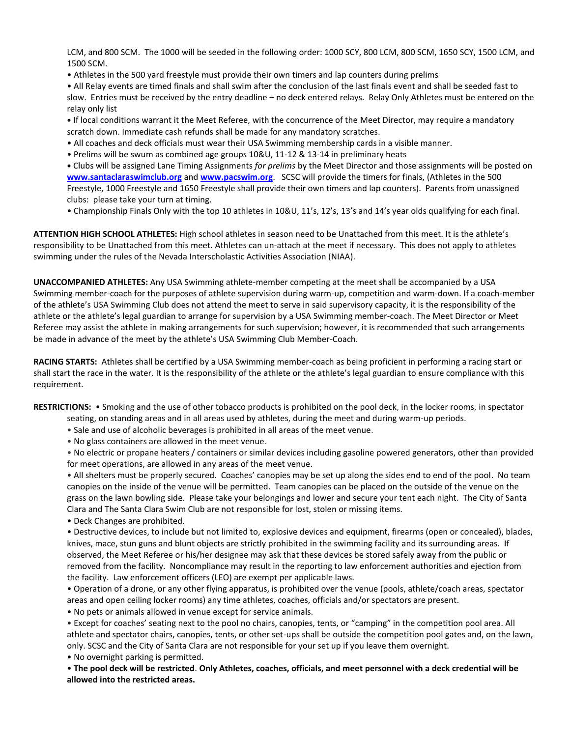LCM, and 800 SCM. The 1000 will be seeded in the following order: 1000 SCY, 800 LCM, 800 SCM, 1650 SCY, 1500 LCM, and 1500 SCM.

• Athletes in the 500 yard freestyle must provide their own timers and lap counters during prelims

• All Relay events are timed finals and shall swim after the conclusion of the last finals event and shall be seeded fast to slow. Entries must be received by the entry deadline – no deck entered relays. Relay Only Athletes must be entered on the relay only list

**•** If local conditions warrant it the Meet Referee, with the concurrence of the Meet Director, may require a mandatory scratch down. Immediate cash refunds shall be made for any mandatory scratches.

- All coaches and deck officials must wear their USA Swimming membership cards in a visible manner.
- Prelims will be swum as combined age groups 10&U, 11-12 & 13-14 in preliminary heats

**•** Clubs will be assigned Lane Timing Assignments *for prelims* by the Meet Director and those assignments will be posted on **[www.santaclaraswimclub.org](http://www.santaclaraswimclub.org/)** and **[www.pacswim.org](http://www.pacswim.org/)**. SCSC will provide the timers for finals, (Athletes in the 500 Freestyle, 1000 Freestyle and 1650 Freestyle shall provide their own timers and lap counters). Parents from unassigned clubs: please take your turn at timing.

• Championship Finals Only with the top 10 athletes in 10&U, 11's, 12's, 13's and 14's year olds qualifying for each final.

**ATTENTION HIGH SCHOOL ATHLETES:** High school athletes in season need to be Unattached from this meet. It is the athlete's responsibility to be Unattached from this meet. Athletes can un-attach at the meet if necessary. This does not apply to athletes swimming under the rules of the Nevada Interscholastic Activities Association (NIAA).

**UNACCOMPANIED ATHLETES:** Any USA Swimming athlete-member competing at the meet shall be accompanied by a USA Swimming member-coach for the purposes of athlete supervision during warm-up, competition and warm-down. If a coach-member of the athlete's USA Swimming Club does not attend the meet to serve in said supervisory capacity, it is the responsibility of the athlete or the athlete's legal guardian to arrange for supervision by a USA Swimming member-coach. The Meet Director or Meet Referee may assist the athlete in making arrangements for such supervision; however, it is recommended that such arrangements be made in advance of the meet by the athlete's USA Swimming Club Member-Coach.

**RACING STARTS:** Athletes shall be certified by a USA Swimming member-coach as being proficient in performing a racing start or shall start the race in the water. It is the responsibility of the athlete or the athlete's legal guardian to ensure compliance with this requirement.

**RESTRICTIONS:** • Smoking and the use of other tobacco products is prohibited on the pool deck, in the locker rooms, in spectator seating, on standing areas and in all areas used by athletes, during the meet and during warm-up periods.

- Sale and use of alcoholic beverages is prohibited in all areas of the meet venue.
- No glass containers are allowed in the meet venue.

• No electric or propane heaters / containers or similar devices including gasoline powered generators, other than provided for meet operations, are allowed in any areas of the meet venue.

• All shelters must be properly secured. Coaches' canopies may be set up along the sides end to end of the pool. No team canopies on the inside of the venue will be permitted. Team canopies can be placed on the outside of the venue on the grass on the lawn bowling side. Please take your belongings and lower and secure your tent each night. The City of Santa Clara and The Santa Clara Swim Club are not responsible for lost, stolen or missing items.

• Deck Changes are prohibited.

• Destructive devices, to include but not limited to, explosive devices and equipment, firearms (open or concealed), blades, knives, mace, stun guns and blunt objects are strictly prohibited in the swimming facility and its surrounding areas. If observed, the Meet Referee or his/her designee may ask that these devices be stored safely away from the public or removed from the facility. Noncompliance may result in the reporting to law enforcement authorities and ejection from the facility. Law enforcement officers (LEO) are exempt per applicable laws.

• Operation of a drone, or any other flying apparatus, is prohibited over the venue (pools, athlete/coach areas, spectator areas and open ceiling locker rooms) any time athletes, coaches, officials and/or spectators are present.

• No pets or animals allowed in venue except for service animals.

• Except for coaches' seating next to the pool no chairs, canopies, tents, or "camping" in the competition pool area. All athlete and spectator chairs, canopies, tents, or other set-ups shall be outside the competition pool gates and, on the lawn, only. SCSC and the City of Santa Clara are not responsible for your set up if you leave them overnight. • No overnight parking is permitted.

• **The pool deck will be restricted**. **Only Athletes, coaches, officials, and meet personnel with a deck credential will be allowed into the restricted areas.**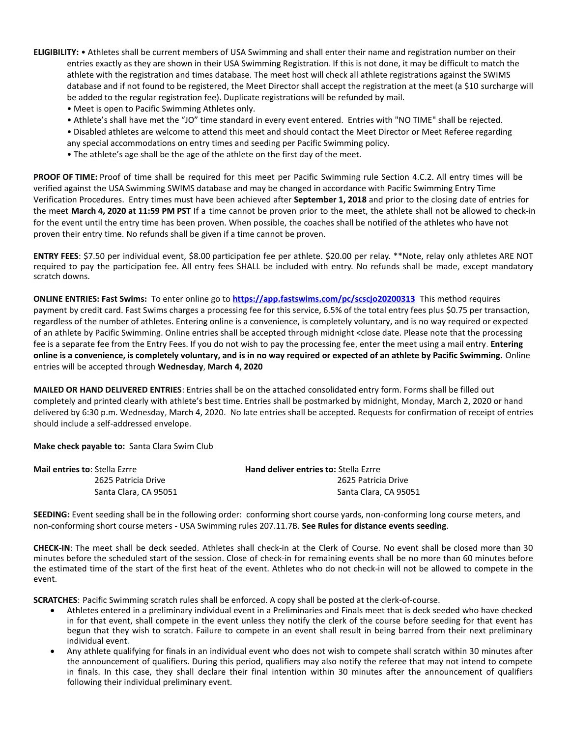- **ELIGIBILITY:** Athletes shall be current members of USA Swimming and shall enter their name and registration number on their entries exactly as they are shown in their USA Swimming Registration. If this is not done, it may be difficult to match the athlete with the registration and times database. The meet host will check all athlete registrations against the SWIMS database and if not found to be registered, the Meet Director shall accept the registration at the meet (a \$10 surcharge will be added to the regular registration fee). Duplicate registrations will be refunded by mail.
	- Meet is open to Pacific Swimming Athletes only.
	- Athlete's shall have met the "JO" time standard in every event entered. Entries with "NO TIME" shall be rejected.
	- Disabled athletes are welcome to attend this meet and should contact the Meet Director or Meet Referee regarding any special accommodations on entry times and seeding per Pacific Swimming policy.
	- The athlete's age shall be the age of the athlete on the first day of the meet.

**PROOF OF TIME:** Proof of time shall be required for this meet per Pacific Swimming rule Section 4.C.2. All entry times will be verified against the USA Swimming SWIMS database and may be changed in accordance with Pacific Swimming Entry Time Verification Procedures. Entry times must have been achieved after **September 1, 2018** and prior to the closing date of entries for the meet **March 4, 2020 at 11:59 PM PST** If a time cannot be proven prior to the meet, the athlete shall not be allowed to check-in for the event until the entry time has been proven. When possible, the coaches shall be notified of the athletes who have not proven their entry time. No refunds shall be given if a time cannot be proven.

**ENTRY FEES**: \$7.50 per individual event, \$8.00 participation fee per athlete. \$20.00 per relay. \*\*Note, relay only athletes ARE NOT required to pay the participation fee. All entry fees SHALL be included with entry. No refunds shall be made, except mandatory scratch downs.

**ONLINE ENTRIES: Fast Swims:** To enter online go to **<https://app.fastswims.com/pc/scscjo20200313>** This method requires payment by credit card. Fast Swims charges a processing fee for this service, 6.5% of the total entry fees plus \$0.75 per transaction, regardless of the number of athletes. Entering online is a convenience, is completely voluntary, and is no way required or expected of an athlete by Pacific Swimming. Online entries shall be accepted through midnight <close date. Please note that the processing fee is a separate fee from the Entry Fees. If you do not wish to pay the processing fee, enter the meet using a mail entry. **Entering online is a convenience, is completely voluntary, and is in no way required or expected of an athlete by Pacific Swimming.** Online entries will be accepted through **Wednesday**, **March 4, 2020**

**MAILED OR HAND DELIVERED ENTRIES**: Entries shall be on the attached consolidated entry form. Forms shall be filled out completely and printed clearly with athlete's best time. Entries shall be postmarked by midnight, Monday, March 2, 2020 or hand delivered by 6:30 p.m. Wednesday, March 4, 2020. No late entries shall be accepted. Requests for confirmation of receipt of entries should include a self-addressed envelope.

**Make check payable to:** Santa Clara Swim Club

| <b>Mail entries to: Stella Ezrre</b> | <b>Hand deliver entries to: Stella Ezrre</b> |
|--------------------------------------|----------------------------------------------|
| 2625 Patricia Drive                  | 2625 Patricia Drive                          |
| Santa Clara, CA 95051                | Santa Clara, CA 95051                        |

**SEEDING:** Event seeding shall be in the following order: conforming short course yards, non-conforming long course meters, and non-conforming short course meters - USA Swimming rules 207.11.7B. **See Rules for distance events seeding**.

**CHECK-IN**: The meet shall be deck seeded. Athletes shall check-in at the Clerk of Course. No event shall be closed more than 30 minutes before the scheduled start of the session. Close of check-in for remaining events shall be no more than 60 minutes before the estimated time of the start of the first heat of the event. Athletes who do not check-in will not be allowed to compete in the event.

**SCRATCHES**: Pacific Swimming scratch rules shall be enforced. A copy shall be posted at the clerk-of-course.

- Athletes entered in a preliminary individual event in a Preliminaries and Finals meet that is deck seeded who have checked in for that event, shall compete in the event unless they notify the clerk of the course before seeding for that event has begun that they wish to scratch. Failure to compete in an event shall result in being barred from their next preliminary individual event.
- Any athlete qualifying for finals in an individual event who does not wish to compete shall scratch within 30 minutes after the announcement of qualifiers. During this period, qualifiers may also notify the referee that may not intend to compete in finals. In this case, they shall declare their final intention within 30 minutes after the announcement of qualifiers following their individual preliminary event.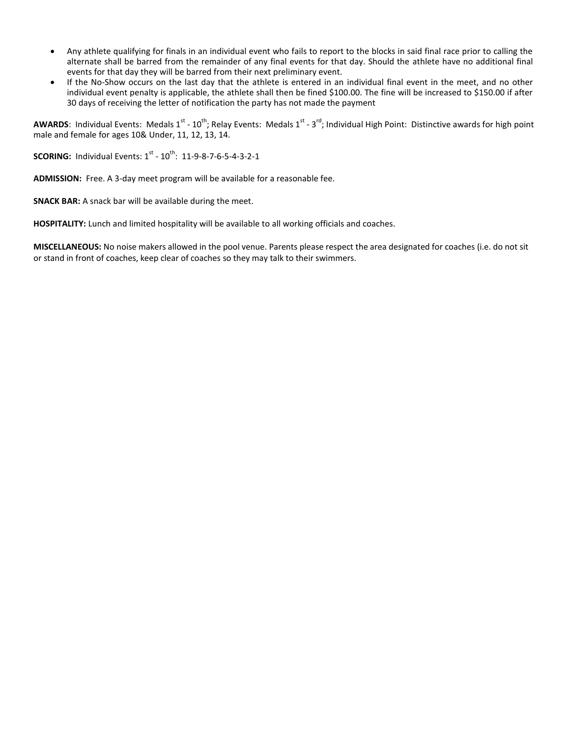- Any athlete qualifying for finals in an individual event who fails to report to the blocks in said final race prior to calling the alternate shall be barred from the remainder of any final events for that day. Should the athlete have no additional final events for that day they will be barred from their next preliminary event.
- If the No-Show occurs on the last day that the athlete is entered in an individual final event in the meet, and no other individual event penalty is applicable, the athlete shall then be fined \$100.00. The fine will be increased to \$150.00 if after 30 days of receiving the letter of notification the party has not made the payment

AWARDS: Individual Events: Medals 1<sup>st</sup> - 10<sup>th</sup>; Relay Events: Medals 1<sup>st</sup> - 3<sup>rd</sup>; Individual High Point: Distinctive awards for high point male and female for ages 10& Under, 11, 12, 13, 14.

**SCORING:** Individual Events: 1<sup>st</sup> - 10<sup>th</sup>: 11-9-8-7-6-5-4-3-2-1

**ADMISSION:** Free. A 3-day meet program will be available for a reasonable fee.

**SNACK BAR:** A snack bar will be available during the meet.

**HOSPITALITY:** Lunch and limited hospitality will be available to all working officials and coaches.

**MISCELLANEOUS:** No noise makers allowed in the pool venue. Parents please respect the area designated for coaches (i.e. do not sit or stand in front of coaches, keep clear of coaches so they may talk to their swimmers.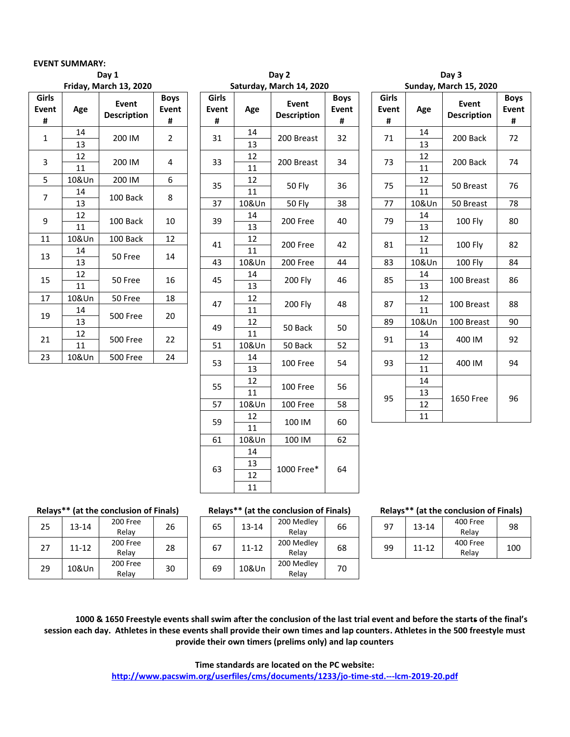### **EVENT SUMMARY:**

|                            |          | Friday, March 13, 2020      |                                  |                   |
|----------------------------|----------|-----------------------------|----------------------------------|-------------------|
| Girls<br><b>Event</b><br># | Age      | Event<br><b>Description</b> | <b>Boys</b><br><b>Event</b><br># | Girl<br>Ever<br># |
| $\mathbf{1}$               | 14<br>13 | 200 IM                      | $\overline{2}$                   | 31                |
| 3                          | 12<br>11 | 200 IM                      | 4                                | 33                |
| 5                          | 10&Un    | 200 IM                      | 6                                | 35                |
| 7                          | 14<br>13 | 100 Back                    | 8                                | 37                |
| 9                          | 12<br>11 | 100 Back                    | 10                               | 39                |
| 11                         | 10&Un    | 100 Back                    | 12                               |                   |
| 13                         | 14<br>13 | 50 Free                     | 14                               | 41<br>43          |
| 15                         | 12<br>11 | 50 Free                     | 16                               | 45                |
| 17                         | 10&Un    | 50 Free                     | 18                               |                   |
| 19                         | 14<br>13 | <b>500 Free</b>             | 20                               | 47                |
| 21                         | 12<br>11 | <b>500 Free</b>             | 22                               | 49<br>51          |
| 23                         | 10&Un    | <b>500 Free</b>             | 24                               |                   |

|                   |             | Day 1                       |                                  |                     |              | Day 2                       |                           |                                         |              | Day 3                              |                               |
|-------------------|-------------|-----------------------------|----------------------------------|---------------------|--------------|-----------------------------|---------------------------|-----------------------------------------|--------------|------------------------------------|-------------------------------|
|                   |             | Friday, March 13, 2020      |                                  |                     |              | Saturday, March 14, 2020    |                           |                                         |              | Sunday, March 15, 2020             |                               |
| irls<br>vent<br># | Age         | Event<br><b>Description</b> | <b>Boys</b><br><b>Event</b><br># | Girls<br>Event<br># | Age          | Event<br><b>Description</b> | <b>Boys</b><br>Event<br># | Girls<br><b>Event</b><br>$\pmb{\sharp}$ | Age          | <b>Event</b><br><b>Description</b> | Boy<br>Ever<br>$\pmb{\sharp}$ |
| $\mathbf{1}$      | 14<br>13    | 200 IM                      | $\overline{2}$                   | 31                  | 14<br>13     | 200 Breast                  | 32                        | 71                                      | 14<br>13     | 200 Back                           | 72                            |
| $\mathbf{3}$      | 12<br>11    | 200 IM                      | 4                                | 33                  | 12<br>$11\,$ | 200 Breast                  | 34                        | 73                                      | 12<br>$11\,$ | 200 Back                           | 74                            |
| $\sqrt{5}$        | 10&Un       | 200 IM                      | 6                                | 35                  | 12           | 50 Fly                      | 36                        | 75                                      | 12           | 50 Breast                          | 76                            |
| $\overline{7}$    | 14<br>13    | 100 Back                    | 8                                | 37                  | 11<br>10&Un  | 50 Fly                      | 38                        | 77                                      | 11<br>10&Un  | 50 Breast                          | 78                            |
| 9                 | 12<br>11    | 100 Back                    | 10                               | 39                  | 14<br>13     | 200 Free                    | 40                        | 79                                      | 14<br>13     | 100 Fly                            | 80                            |
| 11                | 10&Un<br>14 | 100 Back                    | 12                               | 41                  | 12<br>11     | 200 Free                    | 42                        | 81                                      | 12<br>11     | 100 Fly                            | 82                            |
| 13                | 13          | 50 Free                     | 14                               | 43                  | 10&Un        | 200 Free                    | 44                        | 83                                      | 10&Un        | <b>100 Fly</b>                     | 84                            |
| 15                | 12<br>11    | 50 Free                     | 16                               | 45                  | 14<br>13     | <b>200 Fly</b>              | 46                        | 85                                      | 14<br>13     | 100 Breast                         | 86                            |
| 17                | 10&Un<br>14 | 50 Free                     | 18                               | 47                  | 12<br>11     | <b>200 Fly</b>              | 48                        | 87                                      | 12<br>11     | 100 Breast                         | 88                            |
| 19                | 13          | 500 Free                    | 20                               | 49                  | 12           | 50 Back                     | 50                        | 89                                      | 10&Un        | 100 Breast                         | 90                            |
| 21                | 12<br>11    | 500 Free                    | 22                               | 51                  | 11<br>10&Un  | 50 Back                     | 52                        | 91                                      | 14<br>13     | 400 IM                             | 92                            |
| 23                | 10&Un       | 500 Free                    | 24                               | 53                  | 14<br>13     | 100 Free                    | 54                        | 93                                      | 12<br>11     | 400 IM                             | 94                            |
|                   |             |                             |                                  | 55                  | 12<br>11     | 100 Free                    | 56                        | 95                                      | 14<br>13     | 1650 Free                          | 96                            |
|                   |             |                             |                                  | 57                  | 10&Un        | 100 Free                    | 58                        |                                         | 12           |                                    |                               |
|                   |             |                             |                                  | 59                  | 12<br>11     | 100 IM                      | 60                        |                                         | 11           |                                    |                               |
|                   |             |                             |                                  | 61                  | 10&Un        | 100 IM                      | 62                        |                                         |              |                                    |                               |
|                   |             |                             |                                  | 63                  | 14<br>13     | 1000 Free*                  | 64                        |                                         |              |                                    |                               |
|                   |             |                             |                                  |                     | 12<br>11     |                             |                           |                                         |              |                                    |                               |

|            | ⊌aγ 4                       |                                  |                     |          | vay J                              |                                  |
|------------|-----------------------------|----------------------------------|---------------------|----------|------------------------------------|----------------------------------|
|            | rday, March 14, 2020        |                                  |                     |          | Sunday, March 15, 2020             |                                  |
| <b>\ge</b> | Event<br><b>Description</b> | <b>Boys</b><br><b>Event</b><br># | Girls<br>Event<br># | Age      | <b>Event</b><br><b>Description</b> | <b>Boys</b><br><b>Event</b><br># |
| 14<br>13   | 200 Breast                  | 32                               | 71                  | 14<br>13 | 200 Back                           | 72                               |
| 12<br>11   | 200 Breast                  | 34                               | 73                  | 12<br>11 | 200 Back                           | 74                               |
| 12<br>11   | <b>50 Fly</b>               | 36                               | 75                  | 12<br>11 | 50 Breast                          | 76                               |
| &Un        | 50 Fly                      | 38                               | 77                  | 10&Un    | 50 Breast                          | 78                               |
| 14<br>13   | 200 Free                    | 40                               | 79                  | 14<br>13 | 100 Fly                            | 80                               |
| 12<br>11   | 200 Free                    | 42                               | 81                  | 12<br>11 | 100 Fly                            | 82                               |
| &Un        | 200 Free                    | 44                               | 83                  | 10&Un    | <b>100 Fly</b>                     | 84                               |
| 14<br>13   | 200 Fly                     | 46                               | 85                  | 14<br>13 | 100 Breast                         | 86                               |
| 12<br>11   | 200 Fly                     | 48                               | 87                  | 12<br>11 | 100 Breast                         | 88                               |
| 12         |                             |                                  | 89                  | 10&Un    | 100 Breast                         | 90                               |
| 11         | 50 Back                     | 50                               | 91                  | 14       | 400 IM                             | 92                               |
| &Un        | 50 Back                     | 52                               |                     | 13       |                                    |                                  |
| 14<br>13   | 100 Free                    | 54                               | 93                  | 12<br>11 | 400 IM                             | 94                               |
| 12         |                             |                                  |                     | 14       |                                    |                                  |
| 11         | 100 Free                    | 56                               |                     | 13       |                                    |                                  |
| &Un        | 100 Free                    | 58                               | 95                  | 12       | 1650 Free                          | 96                               |
| 12         |                             |                                  |                     | 11       |                                    |                                  |
|            | 100 IM                      | 60                               |                     |          |                                    |                                  |

| 25 | 13-14     | 200 Free<br>Relay | 26 |
|----|-----------|-------------------|----|
| 27 | $11 - 12$ | 200 Free<br>Relay | 28 |
| 29 | 10&Un     | 200 Free<br>Relay | 30 |

| ጋ0 Free<br>Relay | 26 | 65 | $13 - 14$ | 200 Medley<br>Relav | 66 |
|------------------|----|----|-----------|---------------------|----|
| 00 Free<br>Relay | 28 | 67 | $11 - 12$ | 200 Medley<br>Relav | 68 |
| 00 Free<br>Relay | 30 | 69 | 10&Un     | 200 Medley<br>Relay | 70 |

### **Relays\*\* (at the conclusion of Finals) Relays\*\* (at the conclusion of Finals) Relays\*\* (at the conclusion of Finals)**

| Medley<br>Relay | 66 | 97<br>$13 - 14$ |    | 400 Free<br>Relav | 98                |     |
|-----------------|----|-----------------|----|-------------------|-------------------|-----|
| Medley<br>Relav | 68 |                 | 99 | $11 - 12$         | 400 Free<br>Relav | 100 |
|                 |    |                 |    |                   |                   |     |

**1000 & 1650 Freestyle events shall swim after the conclusion of the last trial event and before the starts of the final's session each day. Athletes in these events shall provide their own times and lap counters. Athletes in the 500 freestyle must provide their own timers (prelims only) and lap counters**

> **Time standards are located on the PC website: <http://www.pacswim.org/userfiles/cms/documents/1233/jo-time-std.---lcm-2019-20.pdf>**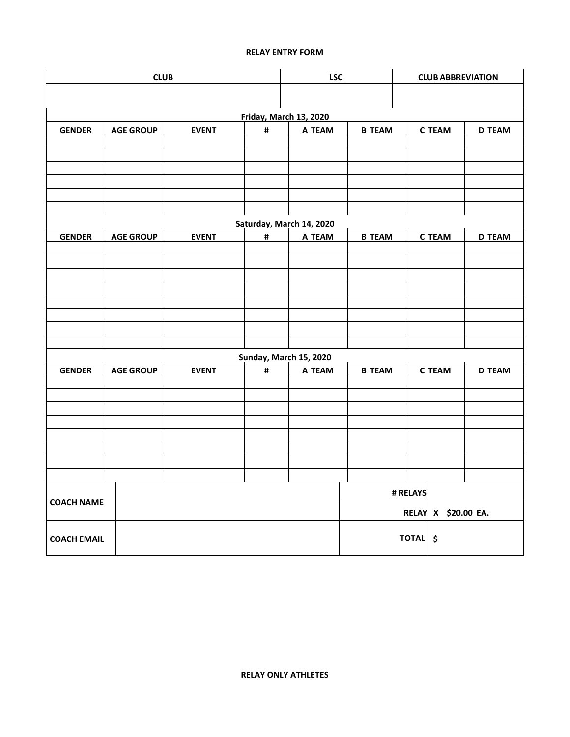## **RELAY ENTRY FORM**

|                    | <b>CLUB</b>      |              |   | <b>LSC</b><br><b>CLUB ABBREVIATION</b> |               |          |                     |               |
|--------------------|------------------|--------------|---|----------------------------------------|---------------|----------|---------------------|---------------|
|                    |                  |              |   |                                        |               |          |                     |               |
|                    |                  |              |   | Friday, March 13, 2020                 |               |          |                     |               |
| <b>GENDER</b>      | <b>AGE GROUP</b> | <b>EVENT</b> | # | A TEAM                                 | <b>B TEAM</b> |          | <b>C TEAM</b>       | <b>D TEAM</b> |
|                    |                  |              |   |                                        |               |          |                     |               |
|                    |                  |              |   |                                        |               |          |                     |               |
|                    |                  |              |   |                                        |               |          |                     |               |
|                    |                  |              |   |                                        |               |          |                     |               |
|                    |                  |              |   |                                        |               |          |                     |               |
|                    |                  |              |   |                                        |               |          |                     |               |
|                    |                  |              |   | Saturday, March 14, 2020               |               |          |                     |               |
| <b>GENDER</b>      | <b>AGE GROUP</b> | <b>EVENT</b> | # | A TEAM                                 | <b>B TEAM</b> |          | <b>C TEAM</b>       | <b>D TEAM</b> |
|                    |                  |              |   |                                        |               |          |                     |               |
|                    |                  |              |   |                                        |               |          |                     |               |
|                    |                  |              |   |                                        |               |          |                     |               |
|                    |                  |              |   |                                        |               |          |                     |               |
|                    |                  |              |   |                                        |               |          |                     |               |
|                    |                  |              |   |                                        |               |          |                     |               |
|                    |                  |              |   |                                        |               |          |                     |               |
|                    |                  |              |   | Sunday, March 15, 2020                 |               |          |                     |               |
| <b>GENDER</b>      | <b>AGE GROUP</b> | <b>EVENT</b> | # | A TEAM                                 | <b>B TEAM</b> |          | <b>C TEAM</b>       | <b>D TEAM</b> |
|                    |                  |              |   |                                        |               |          |                     |               |
|                    |                  |              |   |                                        |               |          |                     |               |
|                    |                  |              |   |                                        |               |          |                     |               |
|                    |                  |              |   |                                        |               |          |                     |               |
|                    |                  |              |   |                                        |               |          |                     |               |
|                    |                  |              |   |                                        |               |          |                     |               |
|                    |                  |              |   |                                        |               |          |                     |               |
|                    |                  |              |   |                                        |               | # RELAYS |                     |               |
| <b>COACH NAME</b>  |                  |              |   |                                        |               |          | RELAY X \$20.00 EA. |               |
| <b>COACH EMAIL</b> |                  |              |   |                                        |               | TOTAL \$ |                     |               |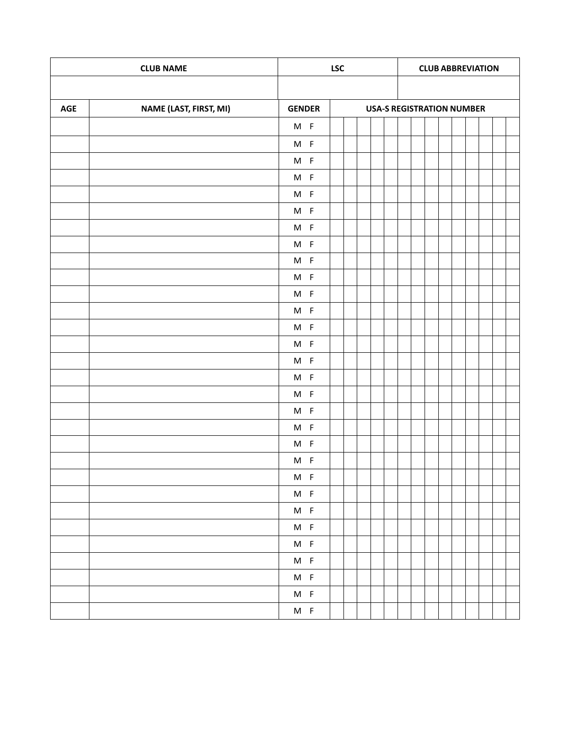| <b>CLUB NAME</b> |                        |                               | <b>LSC</b> | <b>CLUB ABBREVIATION</b>         |  |  |  |  |
|------------------|------------------------|-------------------------------|------------|----------------------------------|--|--|--|--|
|                  |                        |                               |            |                                  |  |  |  |  |
| AGE              | NAME (LAST, FIRST, MI) | <b>GENDER</b>                 |            | <b>USA-S REGISTRATION NUMBER</b> |  |  |  |  |
|                  |                        | $M$ F                         |            |                                  |  |  |  |  |
|                  |                        | $M$ F                         |            |                                  |  |  |  |  |
|                  |                        | $M$ F                         |            |                                  |  |  |  |  |
|                  |                        | $M$ F                         |            |                                  |  |  |  |  |
|                  |                        | $M$ F                         |            |                                  |  |  |  |  |
|                  |                        | $M$ F                         |            |                                  |  |  |  |  |
|                  |                        | $M$ F                         |            |                                  |  |  |  |  |
|                  |                        | $M$ F                         |            |                                  |  |  |  |  |
|                  |                        | $M$ F                         |            |                                  |  |  |  |  |
|                  |                        | $M$ F                         |            |                                  |  |  |  |  |
|                  |                        | $M$ F                         |            |                                  |  |  |  |  |
|                  |                        | $M$ F                         |            |                                  |  |  |  |  |
|                  |                        | $M$ F                         |            |                                  |  |  |  |  |
|                  |                        | $M$ F                         |            |                                  |  |  |  |  |
|                  |                        | $M$ F                         |            |                                  |  |  |  |  |
|                  |                        | $M$ F                         |            |                                  |  |  |  |  |
|                  |                        | $M$ F                         |            |                                  |  |  |  |  |
|                  |                        | $M$ F                         |            |                                  |  |  |  |  |
|                  |                        | $M$ F                         |            |                                  |  |  |  |  |
|                  |                        | $M$ F                         |            |                                  |  |  |  |  |
|                  |                        | $M$ F                         |            |                                  |  |  |  |  |
|                  |                        | M F                           |            |                                  |  |  |  |  |
|                  |                        | $\mathsf{M} \quad \mathsf{F}$ |            |                                  |  |  |  |  |
|                  |                        | $M$ F                         |            |                                  |  |  |  |  |
|                  |                        | $M$ F                         |            |                                  |  |  |  |  |
|                  |                        | $M$ F                         |            |                                  |  |  |  |  |
|                  |                        | $M$ F                         |            |                                  |  |  |  |  |
|                  |                        | $M$ F                         |            |                                  |  |  |  |  |
|                  |                        | $M$ F                         |            |                                  |  |  |  |  |
|                  |                        | $M$ F                         |            |                                  |  |  |  |  |